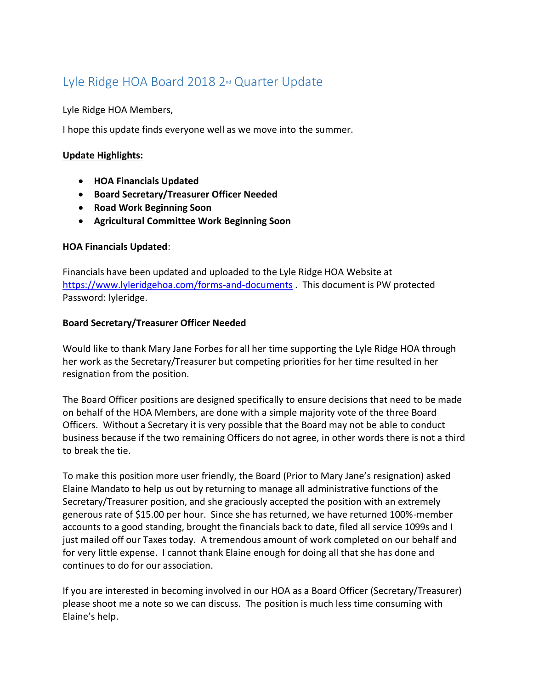# Lyle Ridge HOA Board 2018 2<sup>nd</sup> Quarter Update

Lyle Ridge HOA Members,

I hope this update finds everyone well as we move into the summer.

#### **Update Highlights:**

- **HOA Financials Updated**
- **Board Secretary/Treasurer Officer Needed**
- **Road Work Beginning Soon**
- **Agricultural Committee Work Beginning Soon**

## **HOA Financials Updated**:

Financials have been updated and uploaded to the Lyle Ridge HOA Website at <https://www.lyleridgehoa.com/forms-and-documents> . This document is PW protected Password: lyleridge.

## **Board Secretary/Treasurer Officer Needed**

Would like to thank Mary Jane Forbes for all her time supporting the Lyle Ridge HOA through her work as the Secretary/Treasurer but competing priorities for her time resulted in her resignation from the position.

The Board Officer positions are designed specifically to ensure decisions that need to be made on behalf of the HOA Members, are done with a simple majority vote of the three Board Officers. Without a Secretary it is very possible that the Board may not be able to conduct business because if the two remaining Officers do not agree, in other words there is not a third to break the tie.

To make this position more user friendly, the Board (Prior to Mary Jane's resignation) asked Elaine Mandato to help us out by returning to manage all administrative functions of the Secretary/Treasurer position, and she graciously accepted the position with an extremely generous rate of \$15.00 per hour. Since she has returned, we have returned 100%-member accounts to a good standing, brought the financials back to date, filed all service 1099s and I just mailed off our Taxes today. A tremendous amount of work completed on our behalf and for very little expense. I cannot thank Elaine enough for doing all that she has done and continues to do for our association.

If you are interested in becoming involved in our HOA as a Board Officer (Secretary/Treasurer) please shoot me a note so we can discuss. The position is much less time consuming with Elaine's help.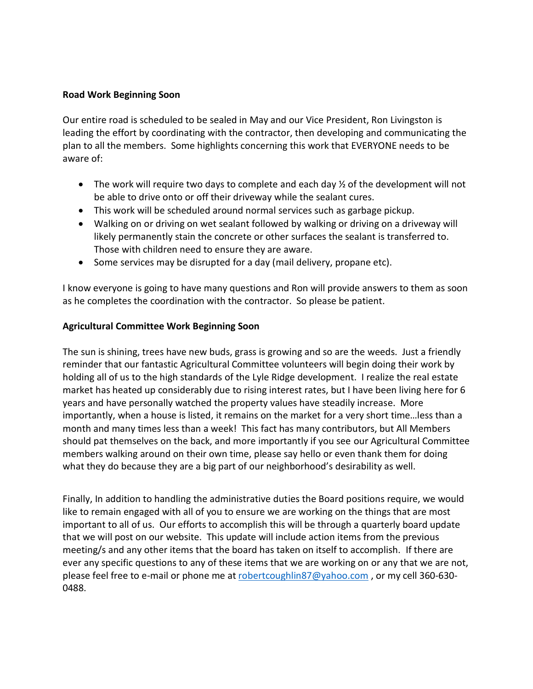#### **Road Work Beginning Soon**

Our entire road is scheduled to be sealed in May and our Vice President, Ron Livingston is leading the effort by coordinating with the contractor, then developing and communicating the plan to all the members. Some highlights concerning this work that EVERYONE needs to be aware of:

- The work will require two days to complete and each day  $\frac{1}{2}$  of the development will not be able to drive onto or off their driveway while the sealant cures.
- This work will be scheduled around normal services such as garbage pickup.
- Walking on or driving on wet sealant followed by walking or driving on a driveway will likely permanently stain the concrete or other surfaces the sealant is transferred to. Those with children need to ensure they are aware.
- Some services may be disrupted for a day (mail delivery, propane etc).

I know everyone is going to have many questions and Ron will provide answers to them as soon as he completes the coordination with the contractor. So please be patient.

#### **Agricultural Committee Work Beginning Soon**

The sun is shining, trees have new buds, grass is growing and so are the weeds. Just a friendly reminder that our fantastic Agricultural Committee volunteers will begin doing their work by holding all of us to the high standards of the Lyle Ridge development. I realize the real estate market has heated up considerably due to rising interest rates, but I have been living here for 6 years and have personally watched the property values have steadily increase. More importantly, when a house is listed, it remains on the market for a very short time…less than a month and many times less than a week! This fact has many contributors, but All Members should pat themselves on the back, and more importantly if you see our Agricultural Committee members walking around on their own time, please say hello or even thank them for doing what they do because they are a big part of our neighborhood's desirability as well.

Finally, In addition to handling the administrative duties the Board positions require, we would like to remain engaged with all of you to ensure we are working on the things that are most important to all of us. Our efforts to accomplish this will be through a quarterly board update that we will post on our website. This update will include action items from the previous meeting/s and any other items that the board has taken on itself to accomplish. If there are ever any specific questions to any of these items that we are working on or any that we are not, please feel free to e-mail or phone me at [robertcoughlin87@yahoo.com](mailto:robertcoughlin87@yahoo.com), or my cell 360-630-0488.